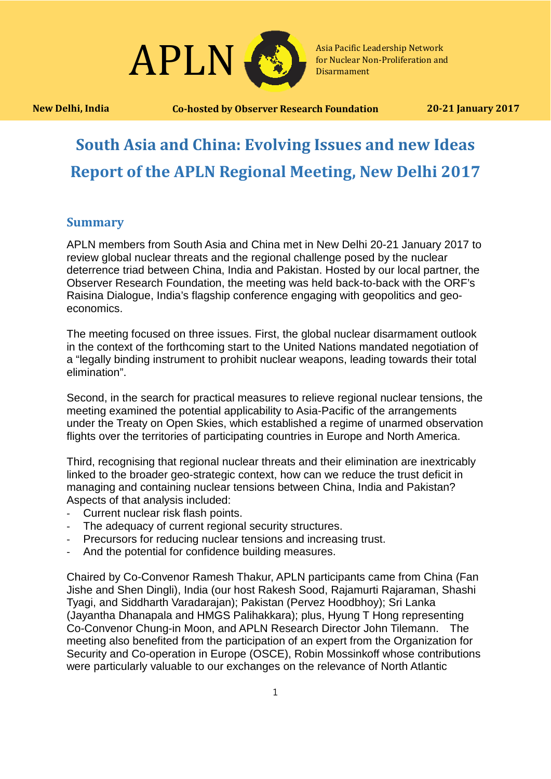

**New Delhi, India Co-hosted by Observer Research Foundation 20-21 January 2017**

# **South Asia and China: Evolving Issues and new Ideas Report of the APLN Regional Meeting, New Delhi 2017**

## **Summary**

APLN members from South Asia and China met in New Delhi 20-21 January 2017 to review global nuclear threats and the regional challenge posed by the nuclear deterrence triad between China, India and Pakistan. Hosted by our local partner, the Observer Research Foundation, the meeting was held back-to-back with the ORF's Raisina Dialogue, India's flagship conference engaging with geopolitics and geoeconomics.

The meeting focused on three issues. First, the global nuclear disarmament outlook in the context of the forthcoming start to the United Nations mandated negotiation of a "legally binding instrument to prohibit nuclear weapons, leading towards their total elimination".

Second, in the search for practical measures to relieve regional nuclear tensions, the meeting examined the potential applicability to Asia-Pacific of the arrangements under the Treaty on Open Skies, which established a regime of unarmed observation flights over the territories of participating countries in Europe and North America.

Third, recognising that regional nuclear threats and their elimination are inextricably linked to the broader geo-strategic context, how can we reduce the trust deficit in managing and containing nuclear tensions between China, India and Pakistan? Aspects of that analysis included:

- Current nuclear risk flash points.
- The adequacy of current regional security structures.
- Precursors for reducing nuclear tensions and increasing trust.
- And the potential for confidence building measures.

Chaired by Co-Convenor Ramesh Thakur, APLN participants came from China (Fan Jishe and Shen Dingli), India (our host Rakesh Sood, Rajamurti Rajaraman, Shashi Tyagi, and Siddharth Varadarajan); Pakistan (Pervez Hoodbhoy); Sri Lanka (Jayantha Dhanapala and HMGS Palihakkara); plus, Hyung T Hong representing Co-Convenor Chung-in Moon, and APLN Research Director John Tilemann. The meeting also benefited from the participation of an expert from the Organization for Security and Co-operation in Europe (OSCE), Robin Mossinkoff whose contributions were particularly valuable to our exchanges on the relevance of North Atlantic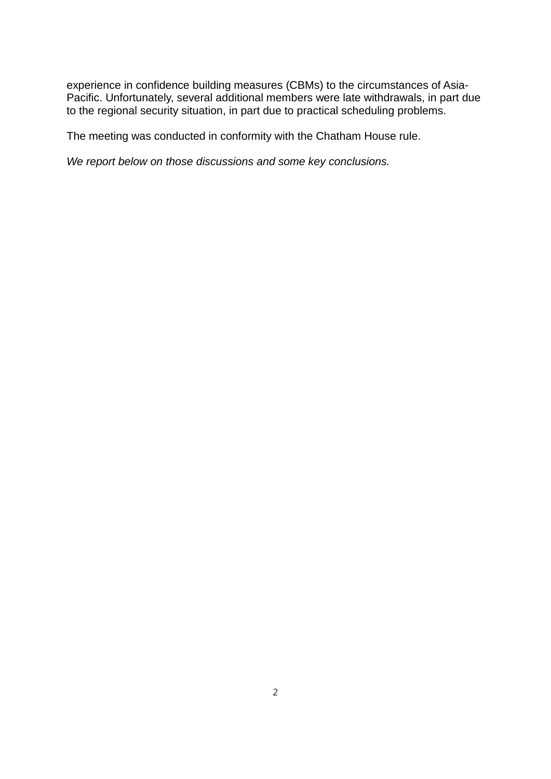experience in confidence building measures (CBMs) to the circumstances of Asia-Pacific. Unfortunately, several additional members were late withdrawals, in part due to the regional security situation, in part due to practical scheduling problems.

The meeting was conducted in conformity with the Chatham House rule.

*We report below on those discussions and some key conclusions.*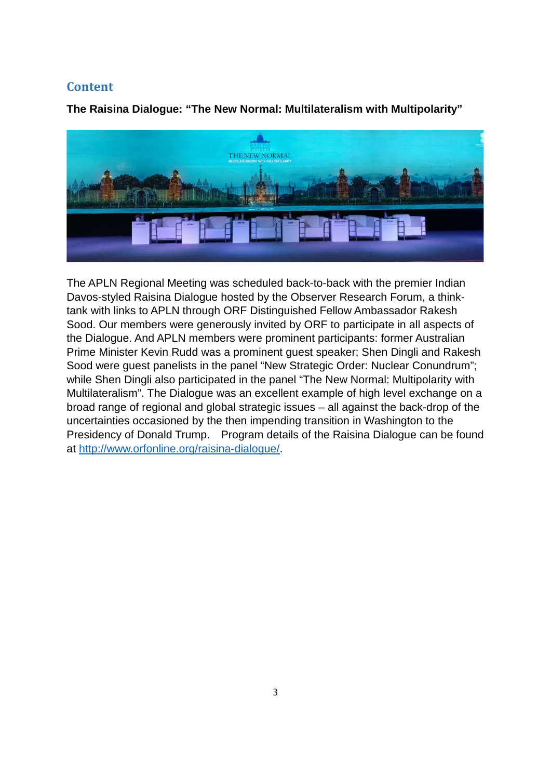# **Content**

**The Raisina Dialogue: "The New Normal: Multilateralism with Multipolarity"** 



The APLN Regional Meeting was scheduled back-to-back with the premier Indian Davos-styled Raisina Dialogue hosted by the Observer Research Forum, a thinktank with links to APLN through ORF Distinguished Fellow Ambassador Rakesh Sood. Our members were generously invited by ORF to participate in all aspects of the Dialogue. And APLN members were prominent participants: former Australian Prime Minister Kevin Rudd was a prominent guest speaker; Shen Dingli and Rakesh Sood were guest panelists in the panel "New Strategic Order: Nuclear Conundrum"; while Shen Dingli also participated in the panel "The New Normal: Multipolarity with Multilateralism". The Dialogue was an excellent example of high level exchange on a broad range of regional and global strategic issues – all against the back-drop of the uncertainties occasioned by the then impending transition in Washington to the Presidency of Donald Trump. Program details of the Raisina Dialogue can be found at [http://www.orfonline.org/raisina-dialogue/.](http://www.orfonline.org/raisina-dialogue/)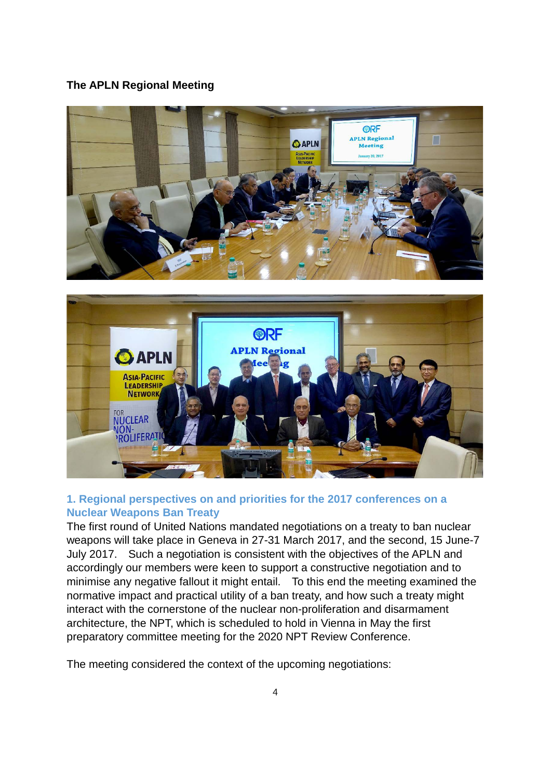#### **The APLN Regional Meeting**





## **1. Regional perspectives on and priorities for the 2017 conferences on a Nuclear Weapons Ban Treaty**

The first round of United Nations mandated negotiations on a treaty to ban nuclear weapons will take place in Geneva in 27-31 March 2017, and the second, 15 June-7 July 2017. Such a negotiation is consistent with the objectives of the APLN and accordingly our members were keen to support a constructive negotiation and to minimise any negative fallout it might entail. To this end the meeting examined the normative impact and practical utility of a ban treaty, and how such a treaty might interact with the cornerstone of the nuclear non-proliferation and disarmament architecture, the NPT, which is scheduled to hold in Vienna in May the first preparatory committee meeting for the 2020 NPT Review Conference.

The meeting considered the context of the upcoming negotiations: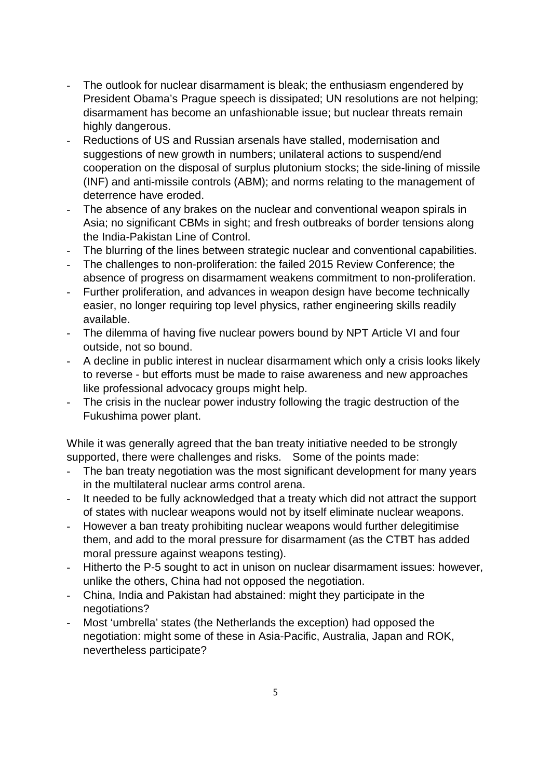- The outlook for nuclear disarmament is bleak; the enthusiasm engendered by President Obama's Prague speech is dissipated; UN resolutions are not helping; disarmament has become an unfashionable issue; but nuclear threats remain highly dangerous.
- Reductions of US and Russian arsenals have stalled, modernisation and suggestions of new growth in numbers; unilateral actions to suspend/end cooperation on the disposal of surplus plutonium stocks; the side-lining of missile (INF) and anti-missile controls (ABM); and norms relating to the management of deterrence have eroded.
- The absence of any brakes on the nuclear and conventional weapon spirals in Asia; no significant CBMs in sight; and fresh outbreaks of border tensions along the India-Pakistan Line of Control.
- The blurring of the lines between strategic nuclear and conventional capabilities.
- The challenges to non-proliferation: the failed 2015 Review Conference; the absence of progress on disarmament weakens commitment to non-proliferation.
- Further proliferation, and advances in weapon design have become technically easier, no longer requiring top level physics, rather engineering skills readily available.
- The dilemma of having five nuclear powers bound by NPT Article VI and four outside, not so bound.
- A decline in public interest in nuclear disarmament which only a crisis looks likely to reverse - but efforts must be made to raise awareness and new approaches like professional advocacy groups might help.
- The crisis in the nuclear power industry following the tragic destruction of the Fukushima power plant.

While it was generally agreed that the ban treaty initiative needed to be strongly supported, there were challenges and risks. Some of the points made:

- The ban treaty negotiation was the most significant development for many years in the multilateral nuclear arms control arena.
- It needed to be fully acknowledged that a treaty which did not attract the support of states with nuclear weapons would not by itself eliminate nuclear weapons.
- However a ban treaty prohibiting nuclear weapons would further delegitimise them, and add to the moral pressure for disarmament (as the CTBT has added moral pressure against weapons testing).
- Hitherto the P-5 sought to act in unison on nuclear disarmament issues: however, unlike the others, China had not opposed the negotiation.
- China, India and Pakistan had abstained: might they participate in the negotiations?
- Most 'umbrella' states (the Netherlands the exception) had opposed the negotiation: might some of these in Asia-Pacific, Australia, Japan and ROK, nevertheless participate?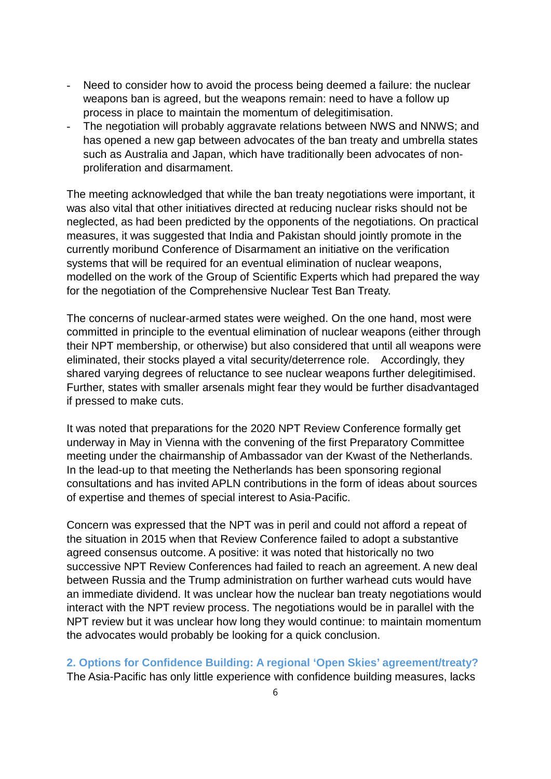- Need to consider how to avoid the process being deemed a failure: the nuclear weapons ban is agreed, but the weapons remain: need to have a follow up process in place to maintain the momentum of delegitimisation.
- The negotiation will probably aggravate relations between NWS and NNWS; and has opened a new gap between advocates of the ban treaty and umbrella states such as Australia and Japan, which have traditionally been advocates of nonproliferation and disarmament.

The meeting acknowledged that while the ban treaty negotiations were important, it was also vital that other initiatives directed at reducing nuclear risks should not be neglected, as had been predicted by the opponents of the negotiations. On practical measures, it was suggested that India and Pakistan should jointly promote in the currently moribund Conference of Disarmament an initiative on the verification systems that will be required for an eventual elimination of nuclear weapons, modelled on the work of the Group of Scientific Experts which had prepared the way for the negotiation of the Comprehensive Nuclear Test Ban Treaty.

The concerns of nuclear-armed states were weighed. On the one hand, most were committed in principle to the eventual elimination of nuclear weapons (either through their NPT membership, or otherwise) but also considered that until all weapons were eliminated, their stocks played a vital security/deterrence role. Accordingly, they shared varying degrees of reluctance to see nuclear weapons further delegitimised. Further, states with smaller arsenals might fear they would be further disadvantaged if pressed to make cuts.

It was noted that preparations for the 2020 NPT Review Conference formally get underway in May in Vienna with the convening of the first Preparatory Committee meeting under the chairmanship of Ambassador van der Kwast of the Netherlands. In the lead-up to that meeting the Netherlands has been sponsoring regional consultations and has invited APLN contributions in the form of ideas about sources of expertise and themes of special interest to Asia-Pacific.

Concern was expressed that the NPT was in peril and could not afford a repeat of the situation in 2015 when that Review Conference failed to adopt a substantive agreed consensus outcome. A positive: it was noted that historically no two successive NPT Review Conferences had failed to reach an agreement. A new deal between Russia and the Trump administration on further warhead cuts would have an immediate dividend. It was unclear how the nuclear ban treaty negotiations would interact with the NPT review process. The negotiations would be in parallel with the NPT review but it was unclear how long they would continue: to maintain momentum the advocates would probably be looking for a quick conclusion.

**2. Options for Confidence Building: A regional 'Open Skies' agreement/treaty?**  The Asia-Pacific has only little experience with confidence building measures, lacks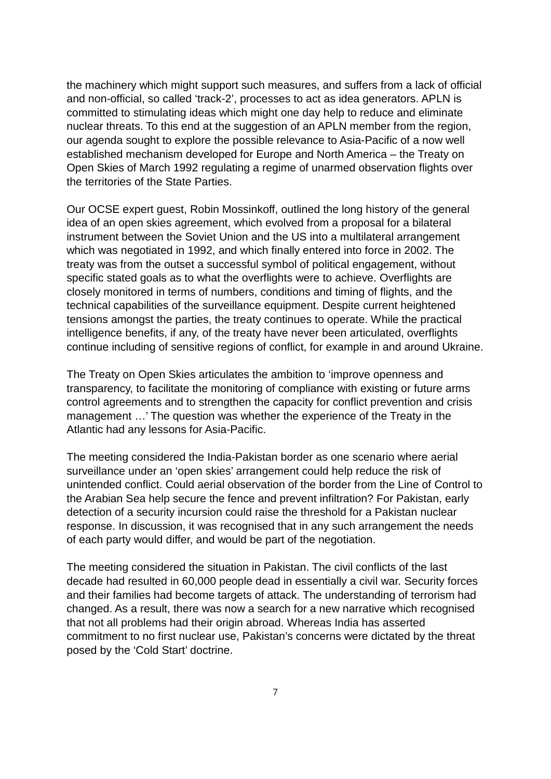the machinery which might support such measures, and suffers from a lack of official and non-official, so called 'track-2', processes to act as idea generators. APLN is committed to stimulating ideas which might one day help to reduce and eliminate nuclear threats. To this end at the suggestion of an APLN member from the region, our agenda sought to explore the possible relevance to Asia-Pacific of a now well established mechanism developed for Europe and North America – the Treaty on Open Skies of March 1992 regulating a regime of unarmed observation flights over the territories of the State Parties.

Our OCSE expert guest, Robin Mossinkoff, outlined the long history of the general idea of an open skies agreement, which evolved from a proposal for a bilateral instrument between the Soviet Union and the US into a multilateral arrangement which was negotiated in 1992, and which finally entered into force in 2002. The treaty was from the outset a successful symbol of political engagement, without specific stated goals as to what the overflights were to achieve. Overflights are closely monitored in terms of numbers, conditions and timing of flights, and the technical capabilities of the surveillance equipment. Despite current heightened tensions amongst the parties, the treaty continues to operate. While the practical intelligence benefits, if any, of the treaty have never been articulated, overflights continue including of sensitive regions of conflict, for example in and around Ukraine.

The Treaty on Open Skies articulates the ambition to 'improve openness and transparency, to facilitate the monitoring of compliance with existing or future arms control agreements and to strengthen the capacity for conflict prevention and crisis management …' The question was whether the experience of the Treaty in the Atlantic had any lessons for Asia-Pacific.

The meeting considered the India-Pakistan border as one scenario where aerial surveillance under an 'open skies' arrangement could help reduce the risk of unintended conflict. Could aerial observation of the border from the Line of Control to the Arabian Sea help secure the fence and prevent infiltration? For Pakistan, early detection of a security incursion could raise the threshold for a Pakistan nuclear response. In discussion, it was recognised that in any such arrangement the needs of each party would differ, and would be part of the negotiation.

The meeting considered the situation in Pakistan. The civil conflicts of the last decade had resulted in 60,000 people dead in essentially a civil war. Security forces and their families had become targets of attack. The understanding of terrorism had changed. As a result, there was now a search for a new narrative which recognised that not all problems had their origin abroad. Whereas India has asserted commitment to no first nuclear use, Pakistan's concerns were dictated by the threat posed by the 'Cold Start' doctrine.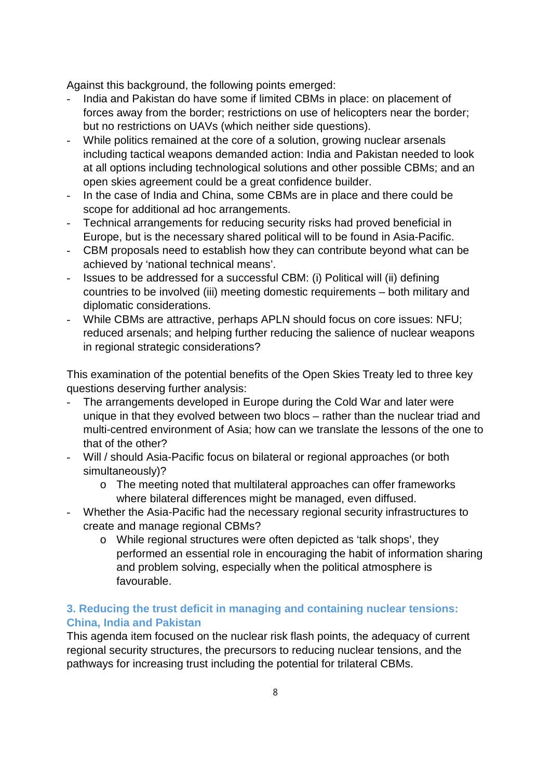Against this background, the following points emerged:

- India and Pakistan do have some if limited CBMs in place: on placement of forces away from the border; restrictions on use of helicopters near the border; but no restrictions on UAVs (which neither side questions).
- While politics remained at the core of a solution, growing nuclear arsenals including tactical weapons demanded action: India and Pakistan needed to look at all options including technological solutions and other possible CBMs; and an open skies agreement could be a great confidence builder.
- In the case of India and China, some CBMs are in place and there could be scope for additional ad hoc arrangements.
- Technical arrangements for reducing security risks had proved beneficial in Europe, but is the necessary shared political will to be found in Asia-Pacific.
- CBM proposals need to establish how they can contribute beyond what can be achieved by 'national technical means'.
- Issues to be addressed for a successful CBM: (i) Political will (ii) defining countries to be involved (iii) meeting domestic requirements – both military and diplomatic considerations.
- While CBMs are attractive, perhaps APLN should focus on core issues: NFU; reduced arsenals; and helping further reducing the salience of nuclear weapons in regional strategic considerations?

This examination of the potential benefits of the Open Skies Treaty led to three key questions deserving further analysis:

- The arrangements developed in Europe during the Cold War and later were unique in that they evolved between two blocs – rather than the nuclear triad and multi-centred environment of Asia; how can we translate the lessons of the one to that of the other?
- Will / should Asia-Pacific focus on bilateral or regional approaches (or both simultaneously)?
	- o The meeting noted that multilateral approaches can offer frameworks where bilateral differences might be managed, even diffused.
- Whether the Asia-Pacific had the necessary regional security infrastructures to create and manage regional CBMs?
	- o While regional structures were often depicted as 'talk shops', they performed an essential role in encouraging the habit of information sharing and problem solving, especially when the political atmosphere is favourable.

## **3. Reducing the trust deficit in managing and containing nuclear tensions: China, India and Pakistan**

This agenda item focused on the nuclear risk flash points, the adequacy of current regional security structures, the precursors to reducing nuclear tensions, and the pathways for increasing trust including the potential for trilateral CBMs.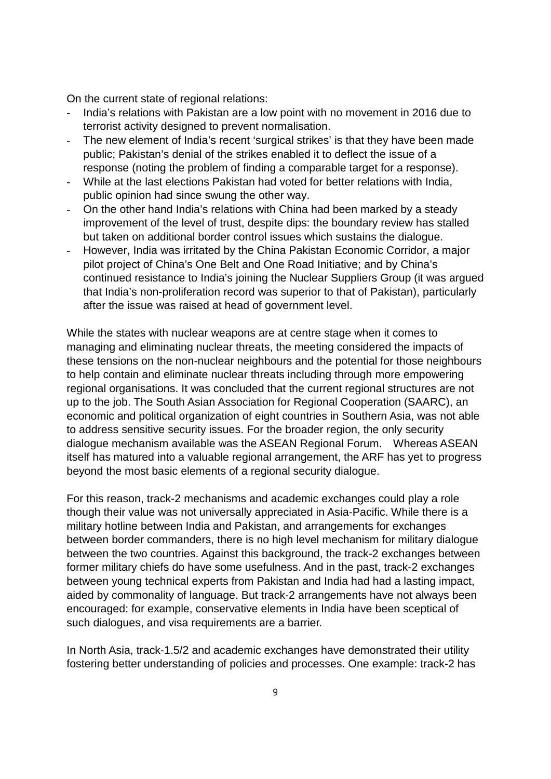On the current state of regional relations:

- India's relations with Pakistan are a low point with no movement in 2016 due to terrorist activity designed to prevent normalisation.
- The new element of India's recent 'surgical strikes' is that they have been made public; Pakistan's denial of the strikes enabled it to deflect the issue of a response (noting the problem of finding a comparable target for a response).
- While at the last elections Pakistan had voted for better relations with India, public opinion had since swung the other way.
- On the other hand India's relations with China had been marked by a steady improvement of the level of trust, despite dips: the boundary review has stalled but taken on additional border control issues which sustains the dialogue.
- However, India was irritated by the China Pakistan Economic Corridor, a major pilot project of China's One Belt and One Road Initiative; and by China's continued resistance to India's joining the Nuclear Suppliers Group (it was argued that India's non-proliferation record was superior to that of Pakistan), particularly after the issue was raised at head of government level.

While the states with nuclear weapons are at centre stage when it comes to managing and eliminating nuclear threats, the meeting considered the impacts of these tensions on the non-nuclear neighbours and the potential for those neighbours to help contain and eliminate nuclear threats including through more empowering regional organisations. It was concluded that the current regional structures are not up to the job. The South Asian Association for Regional Cooperation (SAARC), an economic and political organization of eight countries in Southern Asia, was not able to address sensitive security issues. For the broader region, the only security dialogue mechanism available was the ASEAN Regional Forum. Whereas ASEAN itself has matured into a valuable regional arrangement, the ARF has yet to progress beyond the most basic elements of a regional security dialogue.

For this reason, track-2 mechanisms and academic exchanges could play a role though their value was not universally appreciated in Asia-Pacific. While there is a military hotline between India and Pakistan, and arrangements for exchanges between border commanders, there is no high level mechanism for military dialogue between the two countries. Against this background, the track-2 exchanges between former military chiefs do have some usefulness. And in the past, track-2 exchanges between young technical experts from Pakistan and India had had a lasting impact, aided by commonality of language. But track-2 arrangements have not always been encouraged: for example, conservative elements in India have been sceptical of such dialogues, and visa requirements are a barrier.

In North Asia, track-1.5/2 and academic exchanges have demonstrated their utility fostering better understanding of policies and processes. One example: track-2 has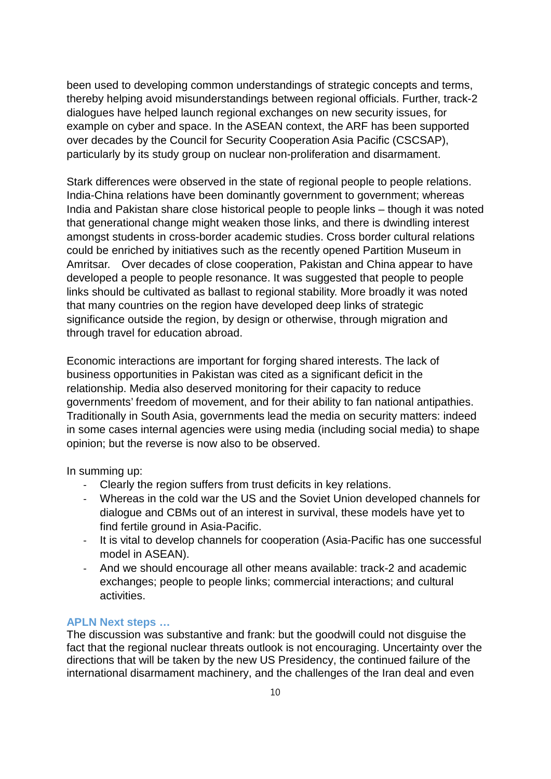been used to developing common understandings of strategic concepts and terms, thereby helping avoid misunderstandings between regional officials. Further, track-2 dialogues have helped launch regional exchanges on new security issues, for example on cyber and space. In the ASEAN context, the ARF has been supported over decades by the Council for Security Cooperation Asia Pacific (CSCSAP), particularly by its study group on nuclear non-proliferation and disarmament.

Stark differences were observed in the state of regional people to people relations. India-China relations have been dominantly government to government; whereas India and Pakistan share close historical people to people links – though it was noted that generational change might weaken those links, and there is dwindling interest amongst students in cross-border academic studies. Cross border cultural relations could be enriched by initiatives such as the recently opened Partition Museum in Amritsar. Over decades of close cooperation, Pakistan and China appear to have developed a people to people resonance. It was suggested that people to people links should be cultivated as ballast to regional stability. More broadly it was noted that many countries on the region have developed deep links of strategic significance outside the region, by design or otherwise, through migration and through travel for education abroad.

Economic interactions are important for forging shared interests. The lack of business opportunities in Pakistan was cited as a significant deficit in the relationship. Media also deserved monitoring for their capacity to reduce governments' freedom of movement, and for their ability to fan national antipathies. Traditionally in South Asia, governments lead the media on security matters: indeed in some cases internal agencies were using media (including social media) to shape opinion; but the reverse is now also to be observed.

In summing up:

- Clearly the region suffers from trust deficits in key relations.
- Whereas in the cold war the US and the Soviet Union developed channels for dialogue and CBMs out of an interest in survival, these models have yet to find fertile ground in Asia-Pacific.
- It is vital to develop channels for cooperation (Asia-Pacific has one successful model in ASEAN).
- And we should encourage all other means available: track-2 and academic exchanges; people to people links; commercial interactions; and cultural activities.

#### **APLN Next steps …**

The discussion was substantive and frank: but the goodwill could not disguise the fact that the regional nuclear threats outlook is not encouraging. Uncertainty over the directions that will be taken by the new US Presidency, the continued failure of the international disarmament machinery, and the challenges of the Iran deal and even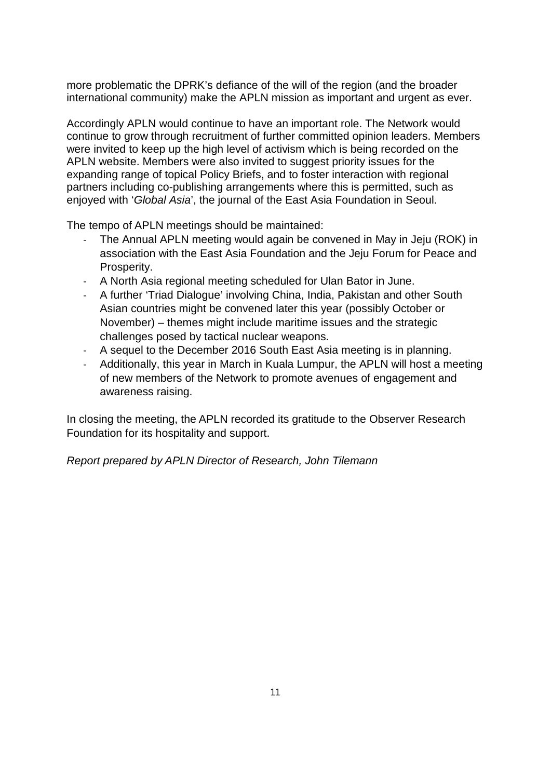more problematic the DPRK's defiance of the will of the region (and the broader international community) make the APLN mission as important and urgent as ever.

Accordingly APLN would continue to have an important role. The Network would continue to grow through recruitment of further committed opinion leaders. Members were invited to keep up the high level of activism which is being recorded on the APLN website. Members were also invited to suggest priority issues for the expanding range of topical Policy Briefs, and to foster interaction with regional partners including co-publishing arrangements where this is permitted, such as enjoyed with '*Global Asia*', the journal of the East Asia Foundation in Seoul.

The tempo of APLN meetings should be maintained:

- The Annual APLN meeting would again be convened in May in Jeju (ROK) in association with the East Asia Foundation and the Jeju Forum for Peace and Prosperity.
- A North Asia regional meeting scheduled for Ulan Bator in June.
- A further 'Triad Dialogue' involving China, India, Pakistan and other South Asian countries might be convened later this year (possibly October or November) – themes might include maritime issues and the strategic challenges posed by tactical nuclear weapons.
- A sequel to the December 2016 South East Asia meeting is in planning.
- Additionally, this year in March in Kuala Lumpur, the APLN will host a meeting of new members of the Network to promote avenues of engagement and awareness raising.

In closing the meeting, the APLN recorded its gratitude to the Observer Research Foundation for its hospitality and support.

*Report prepared by APLN Director of Research, John Tilemann*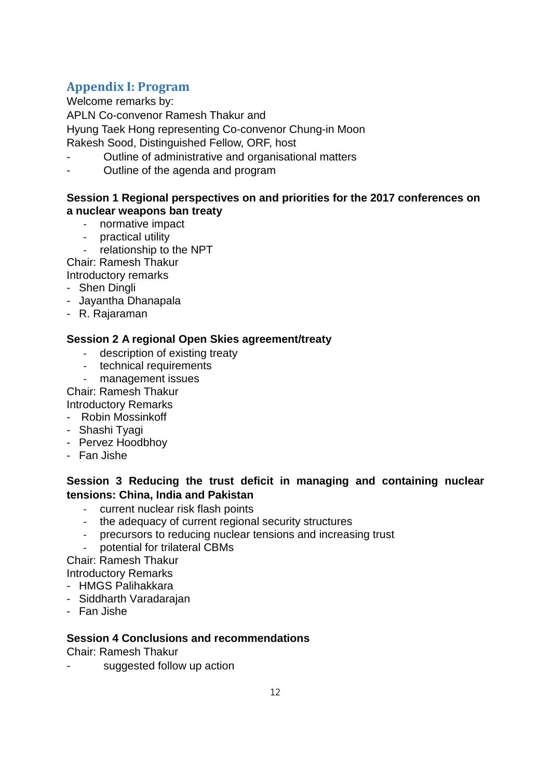# **Appendix I: Program**

Welcome remarks by:

APLN Co-convenor Ramesh Thakur and

Hyung Taek Hong representing Co-convenor Chung-in Moon

Rakesh Sood, Distinguished Fellow, ORF, host

- Outline of administrative and organisational matters
- Outline of the agenda and program

#### **Session 1 Regional perspectives on and priorities for the 2017 conferences on a nuclear weapons ban treaty**

- normative impact
- practical utility
- relationship to the NPT

Chair: Ramesh Thakur

Introductory remarks

- Shen Dingli
- Jayantha Dhanapala
- R. Rajaraman

## **Session 2 A regional Open Skies agreement/treaty**

- description of existing treaty
- technical requirements
- management issues

Chair: Ramesh Thakur

Introductory Remarks

- Robin Mossinkoff
- Shashi Tyagi
- Pervez Hoodbhoy
- Fan Jishe

## **Session 3 Reducing the trust deficit in managing and containing nuclear tensions: China, India and Pakistan**

- current nuclear risk flash points
- the adequacy of current regional security structures
- precursors to reducing nuclear tensions and increasing trust
- potential for trilateral CBMs

Chair: Ramesh Thakur

Introductory Remarks

- HMGS Palihakkara
- Siddharth Varadarajan
- Fan Jishe

## **Session 4 Conclusions and recommendations**

Chair: Ramesh Thakur

suggested follow up action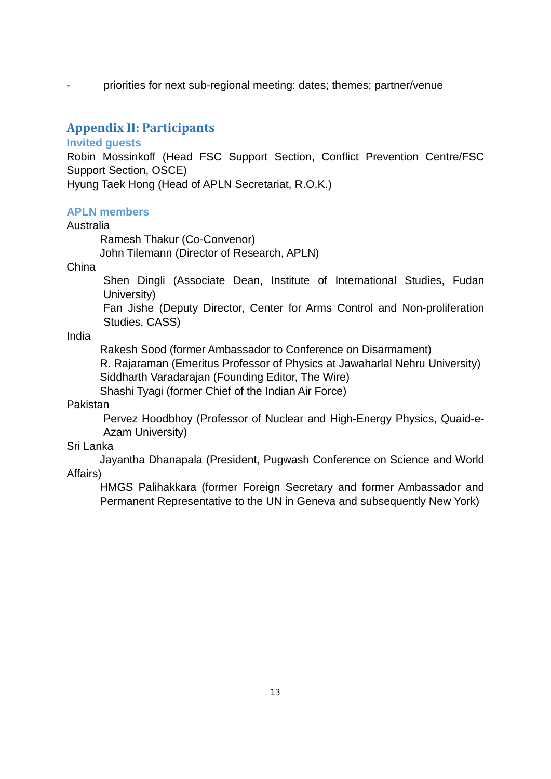priorities for next sub-regional meeting: dates; themes; partner/venue

## **Appendix II: Participants**

#### **Invited guests**

Robin Mossinkoff (Head FSC Support Section, Conflict Prevention Centre/FSC Support Section, OSCE)

Hyung Taek Hong (Head of APLN Secretariat, R.O.K.)

#### **APLN members**

#### Australia

Ramesh Thakur (Co-Convenor) John Tilemann (Director of Research, APLN)

China

Shen Dingli (Associate Dean, Institute of International Studies, Fudan University)

Fan Jishe (Deputy Director, Center for Arms Control and Non-proliferation Studies, CASS)

India

Rakesh Sood (former Ambassador to Conference on Disarmament) R. Rajaraman (Emeritus Professor of Physics at Jawaharlal Nehru University) Siddharth Varadarajan (Founding Editor, The Wire)

Shashi Tyagi (former Chief of the Indian Air Force)

Pakistan

Pervez Hoodbhoy (Professor of Nuclear and High-Energy Physics, Quaid-e-Azam University)

#### Sri Lanka

Jayantha Dhanapala (President, Pugwash Conference on Science and World Affairs)

HMGS Palihakkara (former Foreign Secretary and former Ambassador and Permanent Representative to the UN in Geneva and subsequently New York)